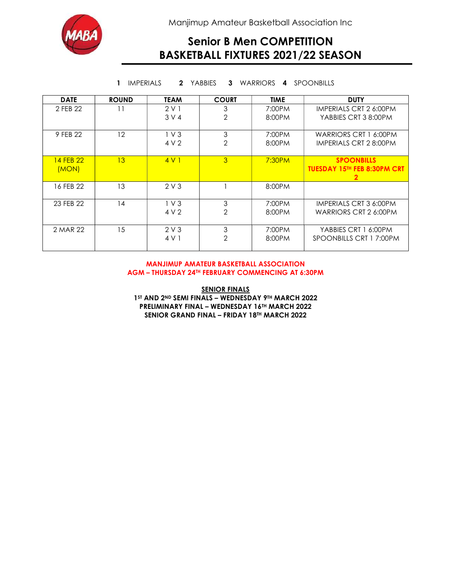

Manjimup Amateur Basketball Association Inc

## Senior B Men COMPETITION BASKETBALL FIXTURES 2021/22 SEASON

| <b>SPOONBILLS</b><br><b>IMPERIALS</b><br>2 YABBIES<br>3<br>WARRIORS<br>1<br>4 |              |                 |                     |                  |                                                                         |
|-------------------------------------------------------------------------------|--------------|-----------------|---------------------|------------------|-------------------------------------------------------------------------|
| <b>DATE</b>                                                                   | <b>ROUND</b> | <b>TEAM</b>     | <b>COURT</b>        | <b>TIME</b>      | <b>DUTY</b>                                                             |
| 2 FEB 22                                                                      | 11           | 2V1<br>3 V 4    | 3<br>$\mathbf{2}$   | 7:00PM<br>8:00PM | <b>IMPERIALS CRT 2 6:00PM</b><br>YABBIES CRT 3 8:00PM                   |
| 9 FEB 22                                                                      | 12           | $1V$ 3<br>4 V 2 | 3<br>$\overline{2}$ | 7:00PM<br>8:00PM | WARRIORS CRT 1 6:00PM<br>IMPERIALS CRT 2 8:00PM                         |
| 14 FFB 22<br>(MON)                                                            | 13           | 4V1             | 3                   | 7:30PM           | <b>SPOONBILLS</b><br><b>TUESDAY 15TH FEB 8:30PM CRT</b><br>$\mathbf{2}$ |
| 16 FEB 22                                                                     | 13           | 2V3             |                     | 8:00PM           |                                                                         |
| 23 FEB 22                                                                     | 14           | $1V$ 3<br>4 V 2 | 3<br>$\overline{2}$ | 7:00PM<br>8:00PM | IMPERIALS CRT 3 6:00PM<br>WARRIORS CRT 2 6:00PM                         |
| 2 MAR 22                                                                      | 15           | 2V3<br>4 V 1    | 3<br>$\mathbf{2}$   | 7:00PM<br>8:00PM | YABBIES CRT 1 6:00PM<br>SPOONBILLS CRT 1 7:00PM                         |

#### MANJIMUP AMATEUR BASKETBALL ASSOCIATION AGM – THURSDAY 24TH FEBRUARY COMMENCING AT 6:30PM

**SENIOR FINALS** 1ST AND 2ND SEMI FINALS - WEDNESDAY 9TH MARCH 2022 PRELIMINARY FINAL – WEDNESDAY 16TH MARCH 2022 SENIOR GRAND FINAL – FRIDAY 18TH MARCH 2022